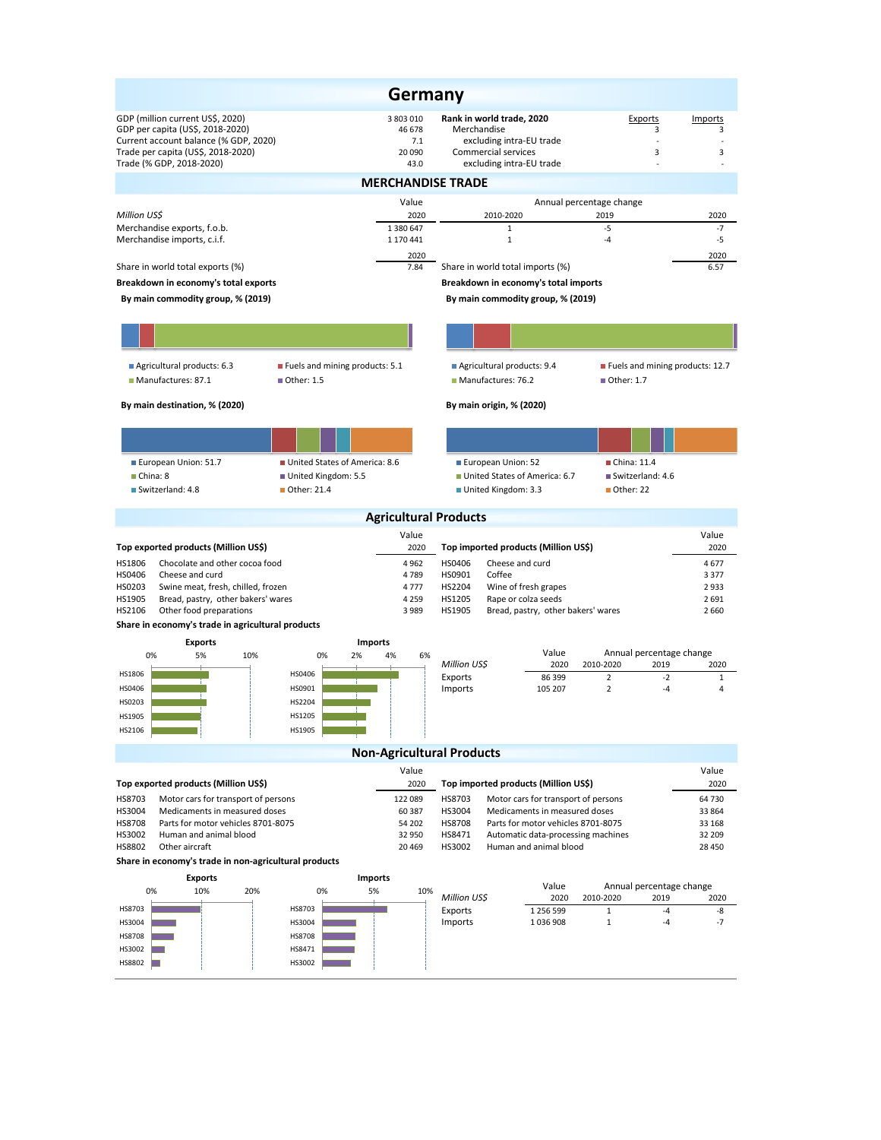|                                                                                                                                                     |                                      |                                       | Germany          |                                                                                             |                                       |                   |                                 |  |  |  |  |  |
|-----------------------------------------------------------------------------------------------------------------------------------------------------|--------------------------------------|---------------------------------------|------------------|---------------------------------------------------------------------------------------------|---------------------------------------|-------------------|---------------------------------|--|--|--|--|--|
| GDP (million current US\$, 2020)<br>GDP per capita (US\$, 2018-2020)<br>Current account balance (% GDP, 2020)<br>Trade per capita (US\$, 2018-2020) |                                      | 3 803 010<br>46 678<br>7.1<br>20 090  |                  | Rank in world trade, 2020<br>Merchandise<br>excluding intra-EU trade<br>Commercial services |                                       | Exports<br>3<br>3 | Imports<br>3<br>3               |  |  |  |  |  |
| Trade (% GDP, 2018-2020)                                                                                                                            |                                      | 43.0                                  |                  | excluding intra-EU trade                                                                    |                                       |                   |                                 |  |  |  |  |  |
| <b>MERCHANDISE TRADE</b>                                                                                                                            |                                      |                                       |                  |                                                                                             |                                       |                   |                                 |  |  |  |  |  |
| Million USS                                                                                                                                         |                                      | Value<br>2020                         |                  | 2010-2020                                                                                   | Annual percentage change<br>2019      |                   | 2020                            |  |  |  |  |  |
| Merchandise exports, f.o.b.                                                                                                                         |                                      | 1 380 647                             |                  | $\mathbf{1}$                                                                                | $-5$                                  |                   | $-7$                            |  |  |  |  |  |
| Merchandise imports, c.i.f.                                                                                                                         |                                      | 1 170 441<br>2020                     |                  | $\mathbf{1}$                                                                                | $-4$                                  |                   | $-5$<br>2020                    |  |  |  |  |  |
| Share in world total exports (%)                                                                                                                    |                                      | 7.84                                  |                  | Share in world total imports (%)                                                            |                                       |                   | 6.57                            |  |  |  |  |  |
| Breakdown in economy's total exports                                                                                                                |                                      |                                       |                  | Breakdown in economy's total imports                                                        |                                       |                   |                                 |  |  |  |  |  |
| By main commodity group, % (2019)<br>By main commodity group, % (2019)                                                                              |                                      |                                       |                  |                                                                                             |                                       |                   |                                 |  |  |  |  |  |
|                                                                                                                                                     |                                      |                                       |                  |                                                                                             |                                       |                   |                                 |  |  |  |  |  |
|                                                                                                                                                     |                                      |                                       |                  |                                                                                             |                                       |                   |                                 |  |  |  |  |  |
| Agricultural products: 6.3                                                                                                                          | ■ Fuels and mining products: 5.1     |                                       |                  | Agricultural products: 9.4                                                                  |                                       |                   | Fuels and mining products: 12.7 |  |  |  |  |  |
| Manufactures: 87.1                                                                                                                                  | Other: 1.5                           |                                       |                  | Manufactures: 76.2                                                                          | ■ Other: 1.7                          |                   |                                 |  |  |  |  |  |
| By main destination, % (2020)                                                                                                                       |                                      |                                       |                  | By main origin, % (2020)                                                                    |                                       |                   |                                 |  |  |  |  |  |
|                                                                                                                                                     |                                      |                                       |                  |                                                                                             |                                       |                   |                                 |  |  |  |  |  |
| European Union: 51.7                                                                                                                                | United States of America: 8.6        |                                       |                  | European Union: 52                                                                          | China: 11.4                           |                   |                                 |  |  |  |  |  |
| China: 8<br>Switzerland: 4.8                                                                                                                        | United Kingdom: 5.5<br>■ Other: 21.4 |                                       |                  | United States of America: 6.7<br>United Kingdom: 3.3                                        | Switzerland: 4.6<br>Other: 22         |                   |                                 |  |  |  |  |  |
|                                                                                                                                                     |                                      |                                       |                  |                                                                                             |                                       |                   |                                 |  |  |  |  |  |
|                                                                                                                                                     |                                      | <b>Agricultural Products</b><br>Value |                  |                                                                                             |                                       |                   | Value                           |  |  |  |  |  |
| Top exported products (Million US\$)                                                                                                                |                                      | 2020                                  |                  | Top imported products (Million US\$)                                                        |                                       |                   | 2020                            |  |  |  |  |  |
| Chocolate and other cocoa food<br>HS1806<br>HS0406<br>Cheese and curd                                                                               |                                      | 4 9 6 2<br>4789                       | HS0406<br>HS0901 | Cheese and curd<br>Coffee                                                                   |                                       |                   | 4677<br>3 3 7 7                 |  |  |  |  |  |
| HS0203<br>Swine meat, fresh, chilled, frozen                                                                                                        |                                      | 4777                                  | HS2204           | Wine of fresh grapes                                                                        |                                       |                   | 2933                            |  |  |  |  |  |
| HS1905<br>Bread, pastry, other bakers' wares                                                                                                        |                                      | 4 2 5 9                               | HS1205           | Rape or colza seeds                                                                         |                                       |                   | 2 6 9 1                         |  |  |  |  |  |
| HS2106<br>Other food preparations<br>Share in economy's trade in agricultural products                                                              |                                      | 3 9 8 9                               | HS1905           | Bread, pastry, other bakers' wares                                                          |                                       |                   | 2 6 6 0                         |  |  |  |  |  |
| <b>Exports</b>                                                                                                                                      |                                      | <b>Imports</b>                        |                  |                                                                                             |                                       |                   |                                 |  |  |  |  |  |
| 0%<br>5%<br>10%                                                                                                                                     | 0%<br>2%                             | 4%<br>6%                              | Million US\$     | Value<br>2020                                                                               | Annual percentage change<br>2010-2020 | 2019              | 2020                            |  |  |  |  |  |
| HS1806                                                                                                                                              | HS0406                               |                                       | Exports          | 86 399                                                                                      | $\overline{2}$                        | $-2$              | 1                               |  |  |  |  |  |
| HS0406<br>HS0203                                                                                                                                    | HS0901<br>HS2204                     |                                       | Imports          | 105 207                                                                                     | $\overline{2}$                        | -4                | 4                               |  |  |  |  |  |
| <b>HS1905</b>                                                                                                                                       | <b>HS1205</b>                        |                                       |                  |                                                                                             |                                       |                   |                                 |  |  |  |  |  |
| HS2106                                                                                                                                              | HS1905                               |                                       |                  |                                                                                             |                                       |                   |                                 |  |  |  |  |  |
|                                                                                                                                                     |                                      | <b>Non-Agricultural Products</b>      |                  |                                                                                             |                                       |                   |                                 |  |  |  |  |  |
|                                                                                                                                                     |                                      | Value                                 |                  |                                                                                             |                                       |                   | Value                           |  |  |  |  |  |
| Top exported products (Million US\$)<br>HS8703<br>Motor cars for transport of persons                                                               |                                      | 2020<br>122 089                       | HS8703           | Top imported products (Million US\$)                                                        |                                       |                   | 2020<br>64 730                  |  |  |  |  |  |
| HS3004<br>Medicaments in measured doses                                                                                                             |                                      | 60 387                                | HS3004           | Motor cars for transport of persons<br>Medicaments in measured doses                        |                                       |                   | 33 864                          |  |  |  |  |  |
| <b>HS8708</b><br>Parts for motor vehicles 8701-8075                                                                                                 |                                      | 54 202                                | <b>HS8708</b>    | Parts for motor vehicles 8701-8075                                                          |                                       |                   | 33 168                          |  |  |  |  |  |
| HS3002<br>Human and animal blood<br>HS8802<br>Other aircraft                                                                                        |                                      | 32 950<br>20 4 69                     | HS8471<br>HS3002 | Automatic data-processing machines<br>Human and animal blood                                |                                       |                   | 32 209<br>28 450                |  |  |  |  |  |
| Share in economy's trade in non-agricultural products                                                                                               |                                      |                                       |                  |                                                                                             |                                       |                   |                                 |  |  |  |  |  |
| <b>Exports</b>                                                                                                                                      |                                      | <b>Imports</b>                        |                  |                                                                                             |                                       |                   |                                 |  |  |  |  |  |
| 0%<br>10%<br>20%                                                                                                                                    | 0%                                   | 5%<br>10%                             | Million US\$     | Value<br>2020                                                                               | Annual percentage change<br>2010-2020 | 2019              | 2020                            |  |  |  |  |  |
| HS8703                                                                                                                                              | HS8703                               |                                       | Exports          | 1 256 599                                                                                   | $\mathbf{1}$                          | $-4$              | -8                              |  |  |  |  |  |
| HS3004                                                                                                                                              | HS3004                               |                                       | Imports          | 1036908                                                                                     | $\mathbf{1}$                          | -4                | $-7$                            |  |  |  |  |  |
| <b>HS8708</b><br>HS3002                                                                                                                             | <b>HS8708</b><br>HS8471              |                                       |                  |                                                                                             |                                       |                   |                                 |  |  |  |  |  |
| HS8802                                                                                                                                              | HS3002                               |                                       |                  |                                                                                             |                                       |                   |                                 |  |  |  |  |  |
|                                                                                                                                                     |                                      |                                       |                  |                                                                                             |                                       |                   |                                 |  |  |  |  |  |